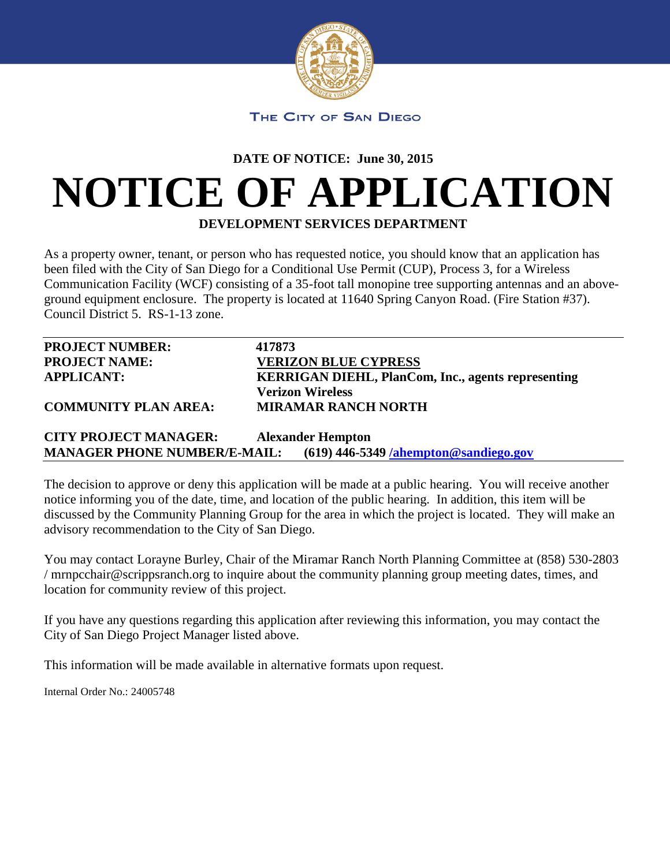

## **DATE OF NOTICE: June 30, 2015**

## **NOTICE OF APPLICATION**

**DEVELOPMENT SERVICES DEPARTMENT**

As a property owner, tenant, or person who has requested notice, you should know that an application has been filed with the City of San Diego for a Conditional Use Permit (CUP), Process 3, for a Wireless Communication Facility (WCF) consisting of a 35-foot tall monopine tree supporting antennas and an aboveground equipment enclosure. The property is located at 11640 Spring Canyon Road. (Fire Station #37). Council District 5. RS-1-13 zone.

| <b>PROJECT NUMBER:</b>      | 417873                                                    |
|-----------------------------|-----------------------------------------------------------|
| <b>PROJECT NAME:</b>        | <b>VERIZON BLUE CYPRESS</b>                               |
| <b>APPLICANT:</b>           | <b>KERRIGAN DIEHL, PlanCom, Inc., agents representing</b> |
|                             | <b>Verizon Wireless</b>                                   |
| <b>COMMUNITY PLAN AREA:</b> | <b>MIRAMAR RANCH NORTH</b>                                |
|                             |                                                           |

**CITY PROJECT MANAGER: Alexander Hempton MANAGER PHONE NUMBER/E-MAIL: (619) 446-5349 [/ahempton@sandiego.gov](mailto:/ahempton@sandiego.gov)**

The decision to approve or deny this application will be made at a public hearing. You will receive another notice informing you of the date, time, and location of the public hearing. In addition, this item will be discussed by the Community Planning Group for the area in which the project is located. They will make an advisory recommendation to the City of San Diego.

You may contact Lorayne Burley, Chair of the Miramar Ranch North Planning Committee at (858) 530-2803 / mrnpcchair@scrippsranch.org to inquire about the community planning group meeting dates, times, and location for community review of this project.

If you have any questions regarding this application after reviewing this information, you may contact the City of San Diego Project Manager listed above.

This information will be made available in alternative formats upon request.

Internal Order No.: 24005748